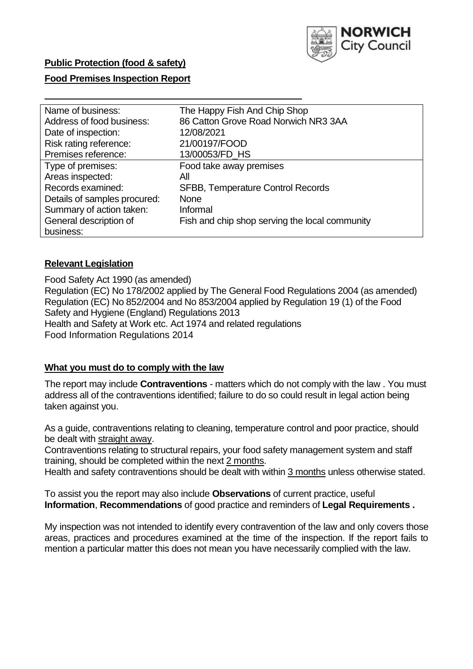

## **Public Protection (food & safety)**

#### **Food Premises Inspection Report**

| Name of business:            | The Happy Fish And Chip Shop                   |
|------------------------------|------------------------------------------------|
| Address of food business:    | 86 Catton Grove Road Norwich NR3 3AA           |
| Date of inspection:          | 12/08/2021                                     |
| Risk rating reference:       | 21/00197/FOOD                                  |
| Premises reference:          | 13/00053/FD HS                                 |
| Type of premises:            | Food take away premises                        |
| Areas inspected:             | All                                            |
| Records examined:            | <b>SFBB, Temperature Control Records</b>       |
| Details of samples procured: | <b>None</b>                                    |
| Summary of action taken:     | Informal                                       |
| General description of       | Fish and chip shop serving the local community |
| business:                    |                                                |

#### **Relevant Legislation**

Food Safety Act 1990 (as amended) Regulation (EC) No 178/2002 applied by The General Food Regulations 2004 (as amended) Regulation (EC) No 852/2004 and No 853/2004 applied by Regulation 19 (1) of the Food Safety and Hygiene (England) Regulations 2013 Health and Safety at Work etc. Act 1974 and related regulations Food Information Regulations 2014

#### **What you must do to comply with the law**

The report may include **Contraventions** - matters which do not comply with the law . You must address all of the contraventions identified; failure to do so could result in legal action being taken against you.

As a guide, contraventions relating to cleaning, temperature control and poor practice, should be dealt with straight away.

Contraventions relating to structural repairs, your food safety management system and staff training, should be completed within the next 2 months.

Health and safety contraventions should be dealt with within 3 months unless otherwise stated.

To assist you the report may also include **Observations** of current practice, useful **Information**, **Recommendations** of good practice and reminders of **Legal Requirements .**

My inspection was not intended to identify every contravention of the law and only covers those areas, practices and procedures examined at the time of the inspection. If the report fails to mention a particular matter this does not mean you have necessarily complied with the law.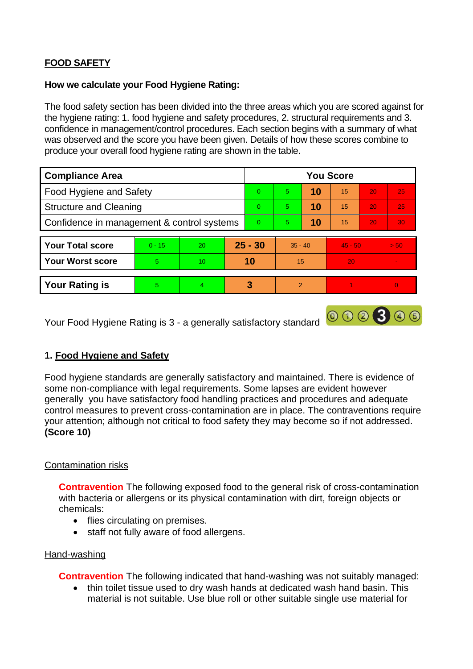# **FOOD SAFETY**

### **How we calculate your Food Hygiene Rating:**

The food safety section has been divided into the three areas which you are scored against for the hygiene rating: 1. food hygiene and safety procedures, 2. structural requirements and 3. confidence in management/control procedures. Each section begins with a summary of what was observed and the score you have been given. Details of how these scores combine to produce your overall food hygiene rating are shown in the table.

| <b>Compliance Area</b>                     |          |                 |  | <b>You Score</b> |               |    |           |    |                 |  |  |
|--------------------------------------------|----------|-----------------|--|------------------|---------------|----|-----------|----|-----------------|--|--|
| Food Hygiene and Safety                    |          |                 |  | $\Omega$         | 5             | 10 | 15        | 20 | 25              |  |  |
| <b>Structure and Cleaning</b>              |          |                 |  | $\Omega$         | 5             | 10 | 15        | 20 | 25              |  |  |
| Confidence in management & control systems |          |                 |  | $\Omega$         | 5             | 10 | 15        | 20 | 30 <sub>1</sub> |  |  |
|                                            |          |                 |  |                  |               |    |           |    |                 |  |  |
| <b>Your Total score</b>                    | $0 - 15$ | 20              |  | $25 - 30$        | $35 - 40$     |    | $45 - 50$ |    | > 50            |  |  |
| <b>Your Worst score</b>                    | 5        | 10 <sup>°</sup> |  | 10               | 15            |    | 20        |    | $\sim$          |  |  |
|                                            |          |                 |  |                  |               |    |           |    |                 |  |  |
| <b>Your Rating is</b>                      | 5.       | 4               |  | 3                | $\mathcal{P}$ |    |           |    | $\Omega$        |  |  |

Your Food Hygiene Rating is 3 - a generally satisfactory standard **@ 3 3 4 5** 

## **1. Food Hygiene and Safety**

Food hygiene standards are generally satisfactory and maintained. There is evidence of some non-compliance with legal requirements. Some lapses are evident however generally you have satisfactory food handling practices and procedures and adequate control measures to prevent cross-contamination are in place. The contraventions require your attention; although not critical to food safety they may become so if not addressed. **(Score 10)**

## Contamination risks

**Contravention** The following exposed food to the general risk of cross-contamination with bacteria or allergens or its physical contamination with dirt, foreign objects or chemicals:

- flies circulating on premises.
- staff not fully aware of food allergens.

### Hand-washing

**Contravention** The following indicated that hand-washing was not suitably managed:

• thin toilet tissue used to dry wash hands at dedicated wash hand basin. This material is not suitable. Use blue roll or other suitable single use material for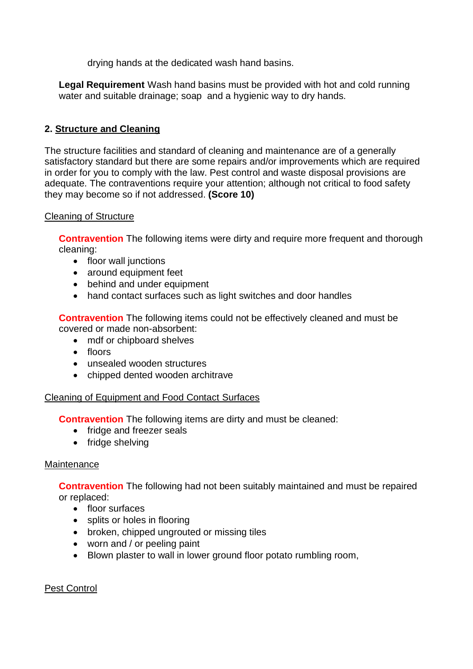drying hands at the dedicated wash hand basins.

**Legal Requirement** Wash hand basins must be provided with hot and cold running water and suitable drainage; soap and a hygienic way to dry hands.

# **2. Structure and Cleaning**

The structure facilities and standard of cleaning and maintenance are of a generally satisfactory standard but there are some repairs and/or improvements which are required in order for you to comply with the law. Pest control and waste disposal provisions are adequate. The contraventions require your attention; although not critical to food safety they may become so if not addressed. **(Score 10)**

### Cleaning of Structure

**Contravention** The following items were dirty and require more frequent and thorough cleaning:

- floor wall junctions
- around equipment feet
- behind and under equipment
- hand contact surfaces such as light switches and door handles

**Contravention** The following items could not be effectively cleaned and must be covered or made non-absorbent:

- mdf or chipboard shelves
- floors
- unsealed wooden structures
- chipped dented wooden architrave

### Cleaning of Equipment and Food Contact Surfaces

**Contravention** The following items are dirty and must be cleaned:

- fridge and freezer seals
- fridge shelving

## **Maintenance**

**Contravention** The following had not been suitably maintained and must be repaired or replaced:

- floor surfaces
- splits or holes in flooring
- broken, chipped ungrouted or missing tiles
- worn and / or peeling paint
- Blown plaster to wall in lower ground floor potato rumbling room,

## Pest Control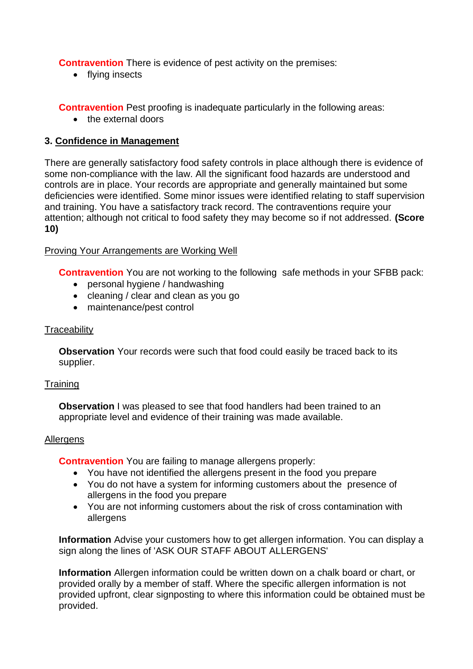**Contravention** There is evidence of pest activity on the premises:

• flying insects

**Contravention** Pest proofing is inadequate particularly in the following areas:

• the external doors

## **3. Confidence in Management**

There are generally satisfactory food safety controls in place although there is evidence of some non-compliance with the law. All the significant food hazards are understood and controls are in place. Your records are appropriate and generally maintained but some deficiencies were identified. Some minor issues were identified relating to staff supervision and training. You have a satisfactory track record. The contraventions require your attention; although not critical to food safety they may become so if not addressed. **(Score 10)**

### Proving Your Arrangements are Working Well

**Contravention** You are not working to the following safe methods in your SFBB pack:

- personal hygiene / handwashing
- cleaning / clear and clean as you go
- maintenance/pest control

#### **Traceability**

**Observation** Your records were such that food could easily be traced back to its supplier.

### **Training**

**Observation** I was pleased to see that food handlers had been trained to an appropriate level and evidence of their training was made available.

#### Allergens

**Contravention** You are failing to manage allergens properly:

- You have not identified the allergens present in the food you prepare
- You do not have a system for informing customers about the presence of allergens in the food you prepare
- You are not informing customers about the risk of cross contamination with allergens

**Information** Advise your customers how to get allergen information. You can display a sign along the lines of 'ASK OUR STAFF ABOUT ALLERGENS'

**Information** Allergen information could be written down on a chalk board or chart, or provided orally by a member of staff. Where the specific allergen information is not provided upfront, clear signposting to where this information could be obtained must be provided.